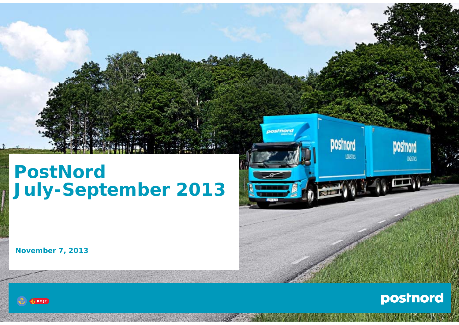## **PostNord July-September 2013**

**November 7, 2013**





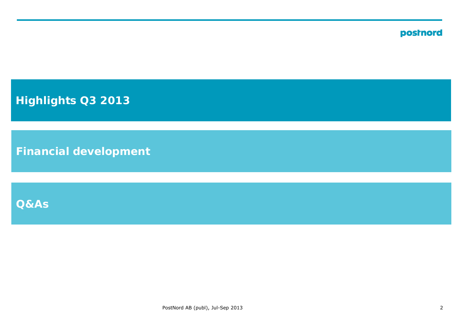**Highlights Q3 2013**

**Financial development**

**Q&As**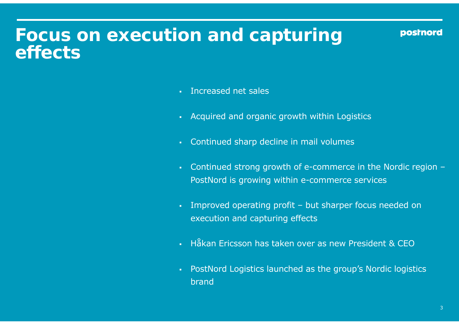### **Focus on execution and capturing effects**

- **Increased net sales**
- Acquired and organic growth within Logistics
- Continued sharp decline in mail volumes
- Continued stron g growth of e-commerce in the Nordic re gion PostNord is growing within e-commerce services
- Improved operating profit but sharper focus needed on execution and capturing effects
- Håkan Ericsson has taken over as new President & CEO
- PostNord Logistics launched as the group's Nordic logistics brand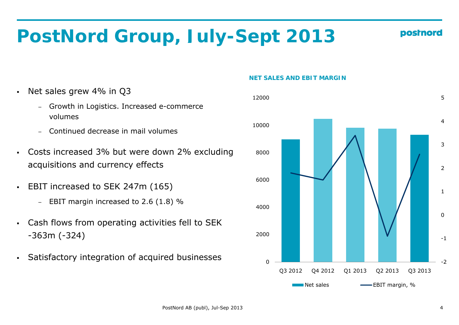# **PostNord Group, July-Sept 2013**

- $\blacksquare$  Net sales grew 4% in Q3
	- − Growth in Logistics. Increased e-commerce volumes
	- − Continued decrease in mail volumes
- Costs increased 3% but were down 2% excluding acquisitions and currency effects
- $\blacksquare$  EBIT increased to SEK 247m (165)
	- − EBIT margin increased to 2.6 (1.8) %
- $\blacksquare$ Cash flows from operating activities fell to SEK
- Satisfactory integration of acquired businesses



#### **NET SALES AND EBIT MARGIN**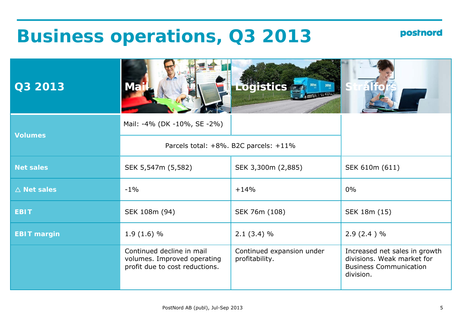### **Business operations, Q3 2013**

| Q3 2013               | <b>Ma</b>                                                                                  | <b>Logistics</b>                            |                                                                                                           |
|-----------------------|--------------------------------------------------------------------------------------------|---------------------------------------------|-----------------------------------------------------------------------------------------------------------|
| <b>Volumes</b>        | Mail: -4% (DK -10%, SE -2%)                                                                |                                             |                                                                                                           |
|                       | Parcels total: +8%. B2C parcels: +11%                                                      |                                             |                                                                                                           |
| <b>Net sales</b>      | SEK 5,547m (5,582)                                                                         | SEK 3,300m (2,885)                          | SEK 610m (611)                                                                                            |
| $\triangle$ Net sales | $-1\%$                                                                                     | $+14%$                                      | $0\%$                                                                                                     |
| <b>EBIT</b>           | SEK 108m (94)                                                                              | SEK 76m (108)                               | SEK 18m (15)                                                                                              |
| <b>EBIT margin</b>    | $1.9(1.6)$ %                                                                               | $2.1(3.4)$ %                                | $2.9(2.4)$ %                                                                                              |
|                       | Continued decline in mail<br>volumes. Improved operating<br>profit due to cost reductions. | Continued expansion under<br>profitability. | Increased net sales in growth<br>divisions. Weak market for<br><b>Business Communication</b><br>division. |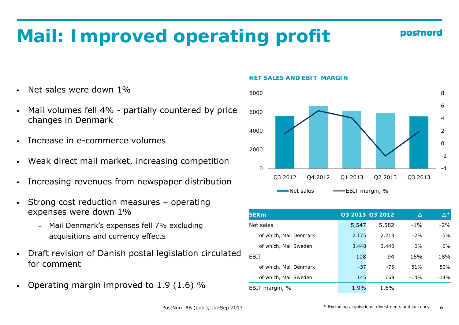# **Mail: Improved operating profit**

- Net sales were down 1%
- Mail volumes fell 4% partially countered by price changes in Denmark and the set of the set of the set of the set of the set of the set of the set of the set of the set of the set of the set of the set of the set of the set of the set of the set of the set of the set of t
- n Increase in e-commerce volumes
- ■
- Increasing revenues from newspaper distribution
- Strong cost reduction measures operating ■ expenses were down 1%
	- − Mail Denmark's expenses fell 7% excluding acquisitions and currency effects
- z Draft revision of Danish postal legislation circulated for comment
- ۰ Operating margin improved to  $1.9$  ( $1.6$ ) %

#### **NET SALES AND EBIT MARGIN**



| <b>SEKm</b>            |       | Q3 2013 Q3 2012 | Δ      | $\Delta^{\star}$ |
|------------------------|-------|-----------------|--------|------------------|
| Net sales              | 5,547 | 5,582           | $-1\%$ | $-2\%$           |
| of which, Mail Denmark | 2,175 | 2.213           | $-2\%$ | -5%              |
| of which, Mail Sweden  | 3,448 | 3,440           | $0\%$  | 0%               |
| FBIT                   | 108   | 94              | 15%    | 18%              |
| of which, Mail Denmark | $-37$ | $-7.5$          | 51%    | 50%              |
| of which, Mail Sweden  | 145   | 169             | $-14%$ | $-14%$           |
| EBIT margin, %         | 1.9%  | 1.6%            |        |                  |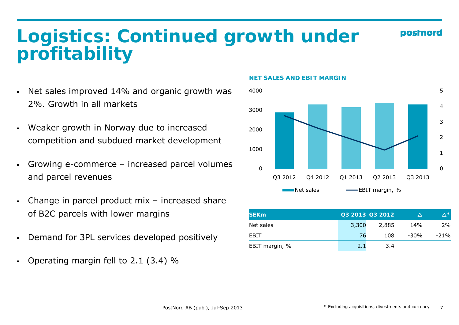### **Logistics: Continued growth under profitability**

- Net sales improved 14% and organic growth was 2%. Growth in all markets
- $\blacksquare$  Weaker growth in Norway due to increased competition and subdued market development
- Growing e-commerce increased parcel volumes п and parcel revenues
- z Change in parcel product mix – increased share of B2C parcels with lower margins
- $\blacksquare$
- Operating margin fell to 2.1 (3.4) %

#### **NET SALES AND EBIT MARGIN**



|  | of B2C parcels with lower margins              | <b>SEKm</b>    |       | Q3 2013 Q3 2012 | $\Lambda$ | /∆ *   |
|--|------------------------------------------------|----------------|-------|-----------------|-----------|--------|
|  | Net sales                                      | 3,300          | 2,885 | 14%             | 2%        |        |
|  | • Demand for 3PL services developed positively | EBIT           |       | 108             | -30%      | $-21%$ |
|  |                                                | EBIT margin, % |       | 3.4             |           |        |

postnoro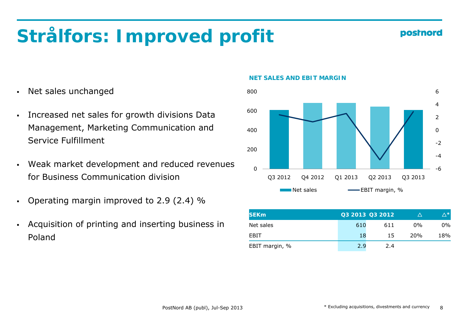# **Strålfors: Improved profit**

- $\blacksquare$ Net sales unchanged
- $\blacksquare$ Management, Marketing Communication and Service Fulfillment
- Weak market development and reduced revenues  $\blacksquare$ for Business Communication division
- z Operating margin improved to 2.9 (2.4) %
- $\blacksquare$  Acquisition of printing and inserting business in Poland

#### **NET SALES AND EBIT MARGIN**



| <b>SEKm</b>    |     | Q3 2013 Q3 2012 |                 | ∧∗  |
|----------------|-----|-----------------|-----------------|-----|
| Net sales      | 610 | 611             | $0\%$           | 0%  |
| <b>FBIT</b>    | 18  | 15              | 20 <sub>%</sub> | 18% |
| EBIT margin, % | 2.9 | 2.4             |                 |     |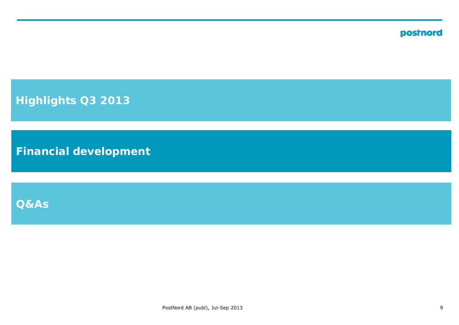**Highlights Q3 2013**

**Financial development**

**Q&As**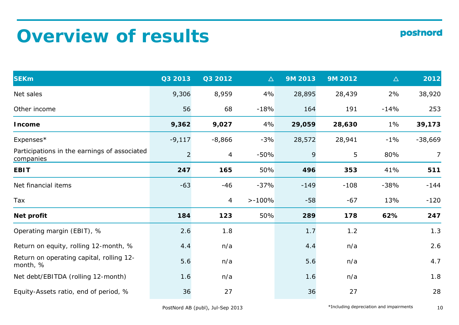# **Overview of results**

| <b>SEKm</b>                                               | Q3 2013        | Q3 2012        | $\Delta$  | 9M 2013 | 9M 2012 | $\Delta$ | 2012           |
|-----------------------------------------------------------|----------------|----------------|-----------|---------|---------|----------|----------------|
| Net sales                                                 | 9,306          | 8,959          | 4%        | 28,895  | 28,439  | 2%       | 38,920         |
| Other income                                              | 56             | 68             | $-18%$    | 164     | 191     | $-14%$   | 253            |
| <b>Income</b>                                             | 9,362          | 9,027          | 4%        | 29,059  | 28,630  | $1\%$    | 39,173         |
| Expenses*                                                 | $-9,117$       | $-8,866$       | $-3%$     | 28,572  | 28,941  | $-1\%$   | $-38,669$      |
| Participations in the earnings of associated<br>companies | $\overline{2}$ | $\overline{4}$ | $-50%$    | 9       | 5       | 80%      | $\overline{7}$ |
| <b>EBIT</b>                                               | 247            | 165            | 50%       | 496     | 353     | 41%      | 511            |
| Net financial items                                       | $-63$          | $-46$          | $-37%$    | $-149$  | $-108$  | $-38%$   | $-144$         |
| Tax                                                       |                | 4              | $> -100%$ | $-58$   | $-67$   | 13%      | $-120$         |
| Net profit                                                | 184            | 123            | 50%       | 289     | 178     | 62%      | 247            |
| Operating margin (EBIT), %                                | 2.6            | 1.8            |           | 1.7     | 1.2     |          | 1.3            |
| Return on equity, rolling 12-month, %                     | 4.4            | n/a            |           | 4.4     | n/a     |          | 2.6            |
| Return on operating capital, rolling 12-<br>month, %      | 5.6            | n/a            |           | 5.6     | n/a     |          | 4.7            |
| Net debt/EBITDA (rolling 12-month)                        | 1.6            | n/a            |           | 1.6     | n/a     |          | 1.8            |
| Equity-Assets ratio, end of period, %                     | 36             | 27             |           | 36      | 27      |          | 28             |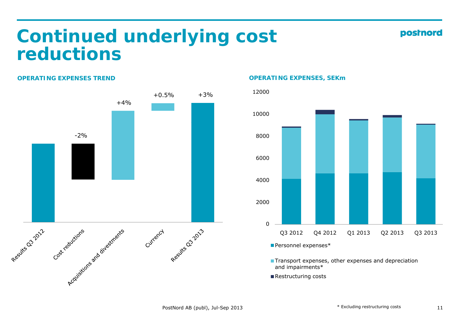### **Continued underlying cost reductions**

#### **OPERATING EXPENSES TREND**

![](_page_10_Figure_2.jpeg)

#### **OPERATING EXPENSES, SEKm**

![](_page_10_Figure_4.jpeg)

- **Transport expenses, other expenses and depreciation** and impairments\*
- Restructuring costs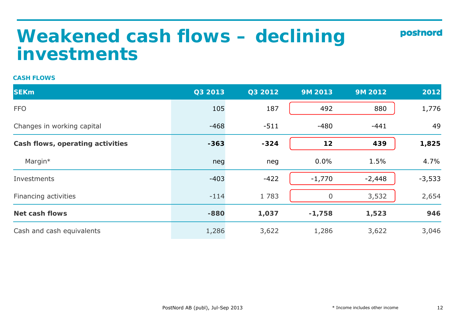### **Weakened cash flows - declining investments**

#### **CASH FLOWS**

| <b>SEKm</b>                      | Q3 2013 | Q3 2012 | <b>9M 2013</b> | 9M 2012  | 2012     |
|----------------------------------|---------|---------|----------------|----------|----------|
| <b>FFO</b>                       | 105     | 187     | 492            | 880      | 1,776    |
| Changes in working capital       | $-468$  | $-511$  | $-480$         | $-441$   | 49       |
| Cash flows, operating activities | $-363$  | $-324$  | 12             | 439      | 1,825    |
| Margin*                          | neg     | neg     | 0.0%           | 1.5%     | 4.7%     |
| Investments                      | $-403$  | $-422$  | $-1,770$       | $-2,448$ | $-3,533$ |
| Financing activities             | $-114$  | 1783    | $\Omega$       | 3,532    | 2,654    |
| <b>Net cash flows</b>            | $-880$  | 1,037   | $-1,758$       | 1,523    | 946      |
| Cash and cash equivalents        | 1,286   | 3,622   | 1,286          | 3,622    | 3,046    |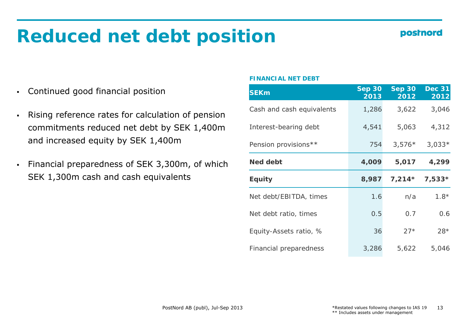## **Reduced net debt position**

### **postnord**

- Continued good financial position
- $\blacksquare$  Rising reference rates for calculation of pension commitments reduced net debt by SEK 1,400m and increased equity by SEK 1,400m
- Financial preparedness of SEK 3,300m, of which Med debt and the set of the set of the set of the set of the set of the set of the set of the set of the set of the set of the set of the set of the set of the set of the se Financial preparedness of SEK 3,300m, of which<br>SEK 1,300m cash and cash equivalents

#### **FINANCIAL NET DEBT**

| <b>SEKm</b>               | <b>Sep 30</b><br>2013 | <b>Sep 30</b><br>2012 | <b>Dec 31</b><br>2012 |
|---------------------------|-----------------------|-----------------------|-----------------------|
| Cash and cash equivalents | 1,286                 | 3,622                 | 3,046                 |
| Interest-bearing debt     | 4,541                 | 5,063                 | 4,312                 |
| Pension provisions**      | 754                   | $3,576*$              | $3,033*$              |
| <b>Ned debt</b>           | 4,009                 | 5,017                 | 4,299                 |
|                           |                       |                       |                       |
| <b>Equity</b>             | 8,987                 | $7,214*$              | $7,533*$              |
| Net debt/EBITDA, times    | 1.6                   | n/a                   | $7.8*$                |
| Net debt ratio, times     | 0.5                   | 0.7                   | 0.6                   |
| Equity-Assets ratio, %    | 36                    | $27*$                 | $28*$                 |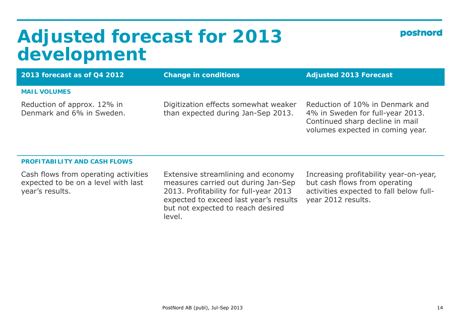### **Adjus ed <sup>o</sup> ecas <sup>o</sup> 0 3 ted forecast for 2013 development**

| postnord |
|----------|
|----------|

| 2013 forecast as of Q4 2012                              | <b>Change in conditions</b>                                                | <b>Adjusted 2013 Forecast</b>                                                                          |
|----------------------------------------------------------|----------------------------------------------------------------------------|--------------------------------------------------------------------------------------------------------|
| <b>MAIL VOLUMES</b>                                      |                                                                            |                                                                                                        |
| Reduction of approx. 12% in<br>Denmark and 6% in Sweden. | Digitization effects somewhat weaker<br>than expected during Jan-Sep 2013. | Reduction of 10% in Denmark and<br>4% in Sweden for full-year 2013.<br>Continued sharp decline in mail |

#### **PROFITABILITY AND CASH FLOWS**

Cash flows from operating activities expected to be on a level with last year's results.

Extensive streamlining and economy measures carried out during Jan-Sep 2013. Profitability for full-year 2013 expected to exceed last year's results but not expected to reach desired level.

Increasing profitability year-on-year, but cash flows from operating activities expected to fall below fullvear 2012 results.

volumes expected in coming year.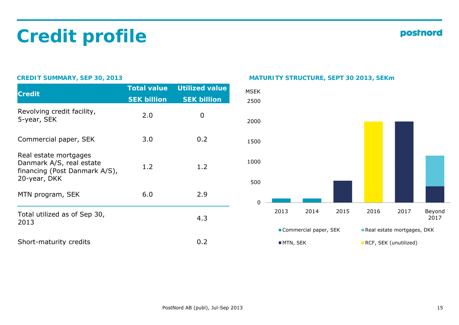# **Credit profile**

#### postnord

| <b>Credit</b>                                                                                      | <b>Total value</b> | <b>Utilized value</b> | <b>MSEK</b> |
|----------------------------------------------------------------------------------------------------|--------------------|-----------------------|-------------|
|                                                                                                    | <b>SEK billion</b> | <b>SEK billion</b>    | 2500        |
| Revolving credit facility,<br>5-year, SEK                                                          | 2.0                | 0                     | 2000        |
| Commercial paper, SEK                                                                              | 3.0                | 0.2                   | 1500        |
| Real estate mortgages<br>Danmark A/S, real estate<br>financing (Post Danmark A/S),<br>20-year, DKK | 1.2                | 1.2                   | 1000<br>500 |
| MTN program, SEK                                                                                   | 6.0                | 2.9                   | $\mathbf 0$ |
| Total utilized as of Sep 30,<br>2013                                                               |                    | 4.3                   |             |
| Short-maturity credits                                                                             |                    | 0.2                   |             |

#### **CREDIT SUMMARY, SEP 30, 2013 MATURITY STRUCTURE, SEPT 30 2013, SEKm**

![](_page_14_Figure_5.jpeg)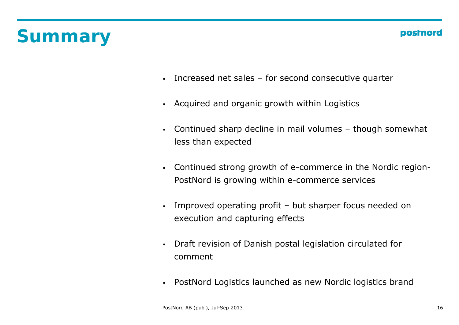# **Summary**

- $\mathbf{r}$ Increased net sales – for second consecutive quarter
- Acquired and organic growth within Logistics
- $\blacksquare$  Continued sharp decline in mail volumes – though somewhat less than expected
- Continued strong growth of e-commerce in the Nordic region-PostNord is growing within e-commerce services
- $\mathbf{r}$  Improved operating profit – but sharper focus needed on execution and capturing effects
- $\bullet$ Draft revision of Danish postal legislation circulated for comment
- PostNord Logistics launched as new Nordic logistics brand  $\blacksquare$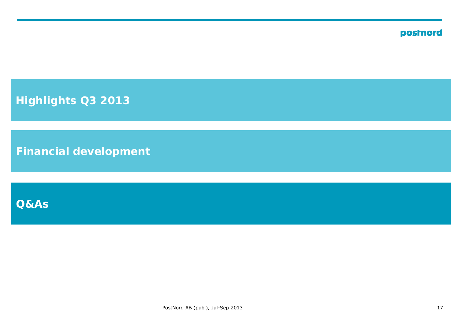**Highlights Q3 2013**

**Financial development**

**Q&As**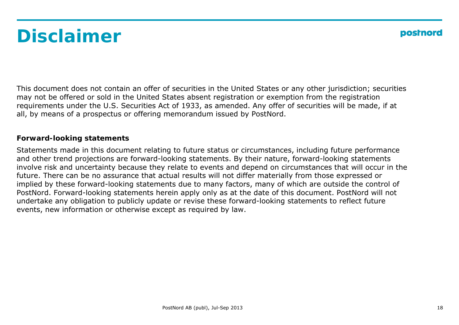# **Disclaimer**

This document does not contain an offer of securities in the United States or any other jurisdiction; securities may not be offered or sold in the United States absent registration or exemption from the registration requirements under the U.S. Securities Act of 1933, as amended. Any offer of securities will be made, if at all, by means of a prospectus or offering memorandum issued by PostNord.

#### **Forward-looking statements**

Statements made in this document relating to future status or circumstances, including future performance and other trend projections are forward-looking statements. By their nature, forward-looking statements involve risk and uncertainty because they relate to events and depend on circumstances that will occur in the future. There can be no assurance that actual results will not differ materially from those expressed or implied by these forward-looking statements due to many factors, many of which are outside the control of PostNord. Forward-looking statements herein apply only as at the date of this document. PostNord will not undertake any obligation to publicly update or revise these forward-looking statements to reflect future events, new information or otherwise except as required by law.